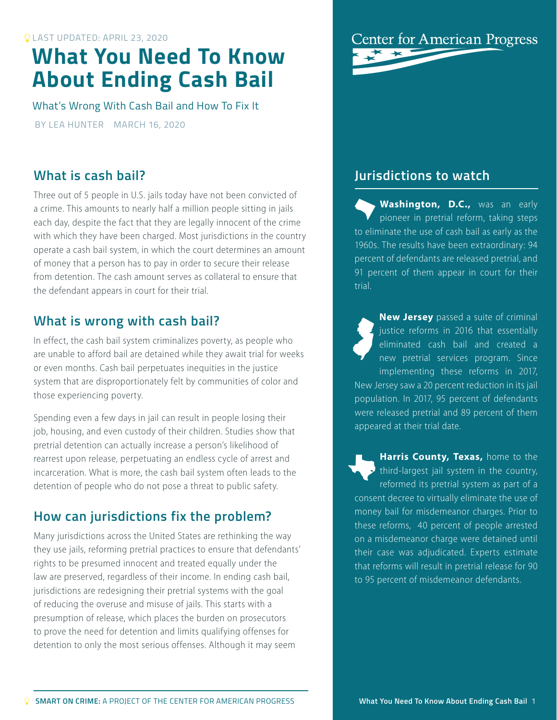# **What You Need To Know About Ending Cash Bail**

What's Wrong With Cash Bail and How To Fix It

BY LEA HUNTER MARCH 16, 2020

#### **What is cash bail?**

Three out of 5 people in U.S. jails today have not been convicted of a crime. This amounts to nearly half a million people sitting in jails each day, despite the fact that they are legally innocent of the crime with which they have been charged. Most jurisdictions in the country operate a cash bail system, in which the court determines an amount of money that a person has to pay in order to secure their release from detention. The cash amount serves as collateral to ensure that the defendant appears in court for their trial.

### **What is wrong with cash bail?**

In effect, the cash bail system criminalizes poverty, as people who are unable to afford bail are detained while they await trial for weeks or even months. Cash bail perpetuates inequities in the justice system that are disproportionately felt by communities of color and those experiencing poverty.

Spending even a few days in jail can result in people losing their job, housing, and even custody of their children. Studies show that pretrial detention can actually increase a person's likelihood of rearrest upon release, perpetuating an endless cycle of arrest and incarceration. What is more, the cash bail system often leads to the detention of people who do not pose a threat to public safety.

## **How can jurisdictions fix the problem?**

Many jurisdictions across the United States are rethinking the way they use jails, reforming pretrial practices to ensure that defendants' rights to be presumed innocent and treated equally under the law are preserved, regardless of their income. In ending cash bail, jurisdictions are redesigning their pretrial systems with the goal of reducing the overuse and misuse of jails. This starts with a presumption of release, which places the burden on prosecutors to prove the need for detention and limits qualifying offenses for detention to only the most serious offenses. Although it may seem



#### **Jurisdictions to watch**

**Washington, D.C.,** was an early pioneer in pretrial reform, taking steps to eliminate the use of cash bail as early as the 1960s. The results have been extraordinary: 94 percent of defendants are released pretrial, and 91 percent of them appear in court for their trial.

**New Jersey** passed a suite of criminal justice reforms in 2016 that essentially eliminated cash bail and created a new pretrial services program. Since implementing these reforms in 2017, New Jersey saw a 20 percent reduction in its jail population. In 2017, 95 percent of defendants were released pretrial and 89 percent of them appeared at their trial date.

**Harris County, Texas, home to the** third-largest jail system in the country, reformed its pretrial system as part of a consent decree to virtually eliminate the use of money bail for misdemeanor charges. Prior to these reforms, 40 percent of people arrested on a misdemeanor charge were detained until their case was adjudicated. Experts estimate that reforms will result in pretrial release for 90 to 95 percent of misdemeanor defendants.